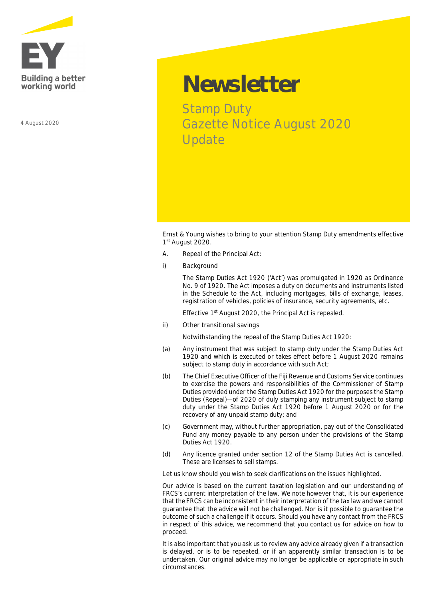

4 August 2020

## **Newsletter**

Stamp Duty Gazette Notice August 2020 Update

Ernst & Young wishes to bring to your attention Stamp Duty amendments effective 1<sup>st</sup> August 2020.

- A. Repeal of the Principal Act:
- **i) Background**

The Stamp Duties Act 1920 ('Act') was promulgated in 1920 as Ordinance No. 9 of 1920. The Act imposes a duty on documents and instruments listed in the Schedule to the Act, including mortgages, bills of exchange, leases, registration of vehicles, policies of insurance, security agreements, etc.

Effective 1<sup>st</sup> August 2020, the Principal Act is repealed.

**ii) Other transitional savings** 

Notwithstanding the repeal of the Stamp Duties Act 1920:

- (a) Any instrument that was subject to stamp duty under the Stamp Duties Act 1920 and which is executed or takes effect before 1 August 2020 remains subject to stamp duty in accordance with such Act;
- (b) The Chief Executive Officer of the Fiji Revenue and Customs Service continues to exercise the powers and responsibilities of the Commissioner of Stamp Duties provided under the Stamp Duties Act 1920 for the purposes the Stamp Duties (Repeal)— of 2020 of duly stamping any instrument subject to stamp duty under the Stamp Duties Act 1920 before 1 August 2020 or for the recovery of any unpaid stamp duty; and
- (c) Government may, without further appropriation, pay out of the Consolidated Fund any money payable to any person under the provisions of the Stamp Duties Act 1920.
- (d) Any licence granted under section 12 of the Stamp Duties Act is cancelled. These are licenses to sell stamps.

Let us know should you wish to seek clarifications on the issues highlighted.

*Our advice is based on the current taxation legislation and our understanding of FRCS's current interpretation of the law. We note however that, it is our experience that the FRCS can be inconsistent in their interpretation of the tax law and we cannot guarantee that the advice will not be challenged. Nor is it possible to guarantee the outcome of such a challenge if it occurs. Should you have any contact from the FRCS in respect of this advice, we recommend that you contact us for advice on how to proceed.*

*It is also important that you ask us to review any advice already given if a transaction is delayed, or is to be repeated, or if an apparently similar transaction is to be undertaken. Our original advice may no longer be applicable or appropriate in such circumstances.*